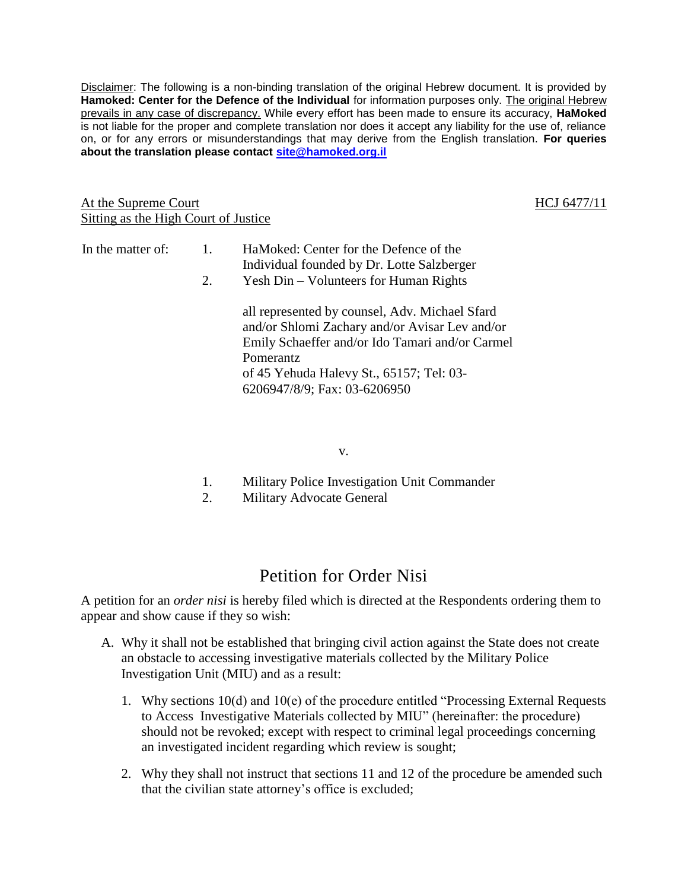Disclaimer: The following is a non-binding translation of the original Hebrew document. It is provided by **Hamoked: Center for the Defence of the Individual** for information purposes only. The original Hebrew prevails in any case of discrepancy. While every effort has been made to ensure its accuracy, **HaMoked** is not liable for the proper and complete translation nor does it accept any liability for the use of, reliance on, or for any errors or misunderstandings that may derive from the English translation. **For queries about the translation please contact [site@hamoked.org.il](mailto:site@hamoked.org.il)**

At the Supreme Court Sitting as the High Court of Justice

#### HCJ 6477/11

| In the matter of: | $\pm 1$<br>$2^{\circ}$ | HaMoked: Center for the Defence of the<br>Individual founded by Dr. Lotte Salzberger<br>Yesh Din – Volunteers for Human Rights |
|-------------------|------------------------|--------------------------------------------------------------------------------------------------------------------------------|
|                   |                        | all represented by counsel, Adv. Michael Sfard<br>and/or Shlomi Zachary and/or Avisar Lev and/or                               |

and/or Shlomi Zachary and/or Avisar Lev and/or Emily Schaeffer and/or Ido Tamari and/or Carmel Pomerantz of 45 Yehuda Halevy St., 65157; Tel: 03- 6206947/8/9; Fax: 03-6206950

v.

- 1. Military Police Investigation Unit Commander
- 2. Military Advocate General

# Petition for Order Nisi

A petition for an *order nisi* is hereby filed which is directed at the Respondents ordering them to appear and show cause if they so wish:

- A. Why it shall not be established that bringing civil action against the State does not create an obstacle to accessing investigative materials collected by the Military Police Investigation Unit (MIU) and as a result:
	- 1. Why sections 10(d) and 10(e) of the procedure entitled "Processing External Requests to Access Investigative Materials collected by MIU" (hereinafter: the procedure) should not be revoked; except with respect to criminal legal proceedings concerning an investigated incident regarding which review is sought;
	- 2. Why they shall not instruct that sections 11 and 12 of the procedure be amended such that the civilian state attorney's office is excluded;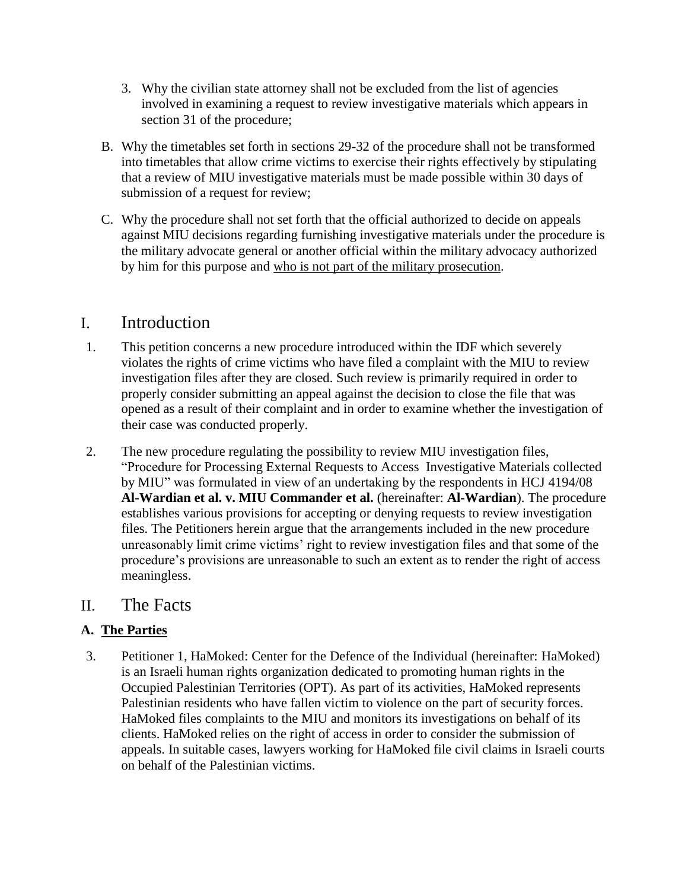- 3. Why the civilian state attorney shall not be excluded from the list of agencies involved in examining a request to review investigative materials which appears in section 31 of the procedure;
- B. Why the timetables set forth in sections 29-32 of the procedure shall not be transformed into timetables that allow crime victims to exercise their rights effectively by stipulating that a review of MIU investigative materials must be made possible within 30 days of submission of a request for review;
- C. Why the procedure shall not set forth that the official authorized to decide on appeals against MIU decisions regarding furnishing investigative materials under the procedure is the military advocate general or another official within the military advocacy authorized by him for this purpose and who is not part of the military prosecution.

# I. Introduction

- 1. This petition concerns a new procedure introduced within the IDF which severely violates the rights of crime victims who have filed a complaint with the MIU to review investigation files after they are closed. Such review is primarily required in order to properly consider submitting an appeal against the decision to close the file that was opened as a result of their complaint and in order to examine whether the investigation of their case was conducted properly.
- 2. The new procedure regulating the possibility to review MIU investigation files, "Procedure for Processing External Requests to Access Investigative Materials collected by MIU" was formulated in view of an undertaking by the respondents in HCJ 4194/08 **Al-Wardian et al. v. MIU Commander et al.** (hereinafter: **Al-Wardian**). The procedure establishes various provisions for accepting or denying requests to review investigation files. The Petitioners herein argue that the arrangements included in the new procedure unreasonably limit crime victims' right to review investigation files and that some of the procedure's provisions are unreasonable to such an extent as to render the right of access meaningless.

## II. The Facts

## **A. The Parties**

3. Petitioner 1, HaMoked: Center for the Defence of the Individual (hereinafter: HaMoked) is an Israeli human rights organization dedicated to promoting human rights in the Occupied Palestinian Territories (OPT). As part of its activities, HaMoked represents Palestinian residents who have fallen victim to violence on the part of security forces. HaMoked files complaints to the MIU and monitors its investigations on behalf of its clients. HaMoked relies on the right of access in order to consider the submission of appeals. In suitable cases, lawyers working for HaMoked file civil claims in Israeli courts on behalf of the Palestinian victims.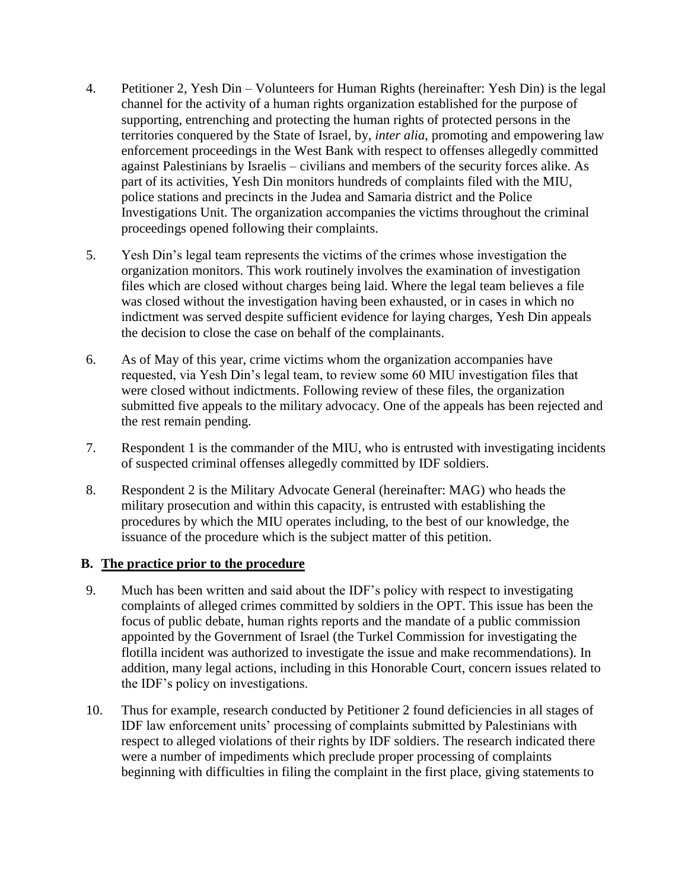- 4. Petitioner 2, Yesh Din Volunteers for Human Rights (hereinafter: Yesh Din) is the legal channel for the activity of a human rights organization established for the purpose of supporting, entrenching and protecting the human rights of protected persons in the territories conquered by the State of Israel, by, *inter alia*, promoting and empowering law enforcement proceedings in the West Bank with respect to offenses allegedly committed against Palestinians by Israelis – civilians and members of the security forces alike. As part of its activities, Yesh Din monitors hundreds of complaints filed with the MIU, police stations and precincts in the Judea and Samaria district and the Police Investigations Unit. The organization accompanies the victims throughout the criminal proceedings opened following their complaints.
- 5. Yesh Din's legal team represents the victims of the crimes whose investigation the organization monitors. This work routinely involves the examination of investigation files which are closed without charges being laid. Where the legal team believes a file was closed without the investigation having been exhausted, or in cases in which no indictment was served despite sufficient evidence for laying charges, Yesh Din appeals the decision to close the case on behalf of the complainants.
- 6. As of May of this year, crime victims whom the organization accompanies have requested, via Yesh Din's legal team, to review some 60 MIU investigation files that were closed without indictments. Following review of these files, the organization submitted five appeals to the military advocacy. One of the appeals has been rejected and the rest remain pending.
- 7. Respondent 1 is the commander of the MIU, who is entrusted with investigating incidents of suspected criminal offenses allegedly committed by IDF soldiers.
- 8. Respondent 2 is the Military Advocate General (hereinafter: MAG) who heads the military prosecution and within this capacity, is entrusted with establishing the procedures by which the MIU operates including, to the best of our knowledge, the issuance of the procedure which is the subject matter of this petition.

#### **B. The practice prior to the procedure**

- 9. Much has been written and said about the IDF's policy with respect to investigating complaints of alleged crimes committed by soldiers in the OPT. This issue has been the focus of public debate, human rights reports and the mandate of a public commission appointed by the Government of Israel (the Turkel Commission for investigating the flotilla incident was authorized to investigate the issue and make recommendations). In addition, many legal actions, including in this Honorable Court, concern issues related to the IDF's policy on investigations.
- 10. Thus for example, research conducted by Petitioner 2 found deficiencies in all stages of IDF law enforcement units' processing of complaints submitted by Palestinians with respect to alleged violations of their rights by IDF soldiers. The research indicated there were a number of impediments which preclude proper processing of complaints beginning with difficulties in filing the complaint in the first place, giving statements to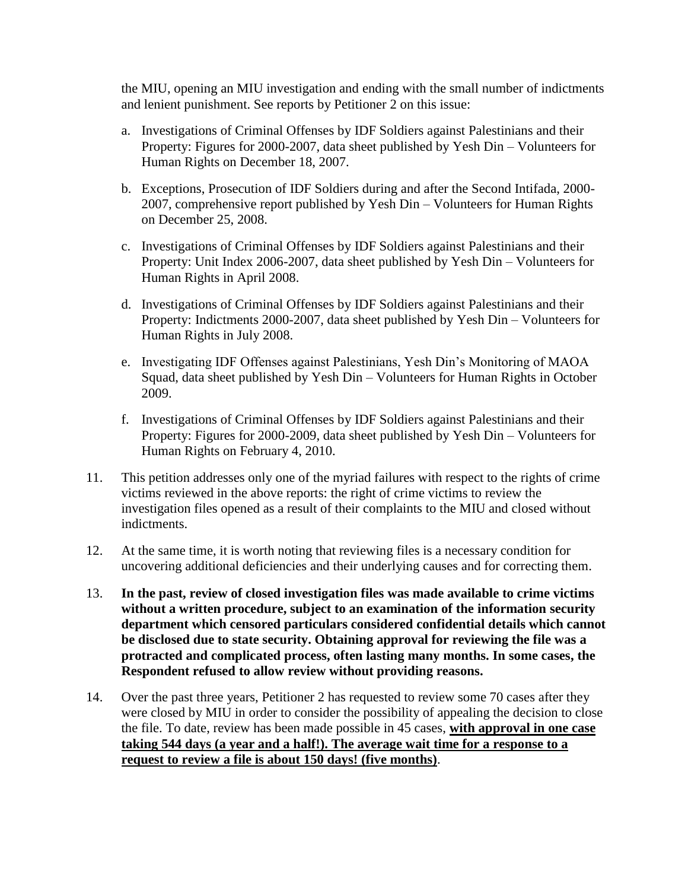the MIU, opening an MIU investigation and ending with the small number of indictments and lenient punishment. See reports by Petitioner 2 on this issue:

- a. Investigations of Criminal Offenses by IDF Soldiers against Palestinians and their Property: Figures for 2000-2007, data sheet published by Yesh Din – Volunteers for Human Rights on December 18, 2007.
- b. Exceptions, Prosecution of IDF Soldiers during and after the Second Intifada, 2000- 2007, comprehensive report published by Yesh Din – Volunteers for Human Rights on December 25, 2008.
- c. Investigations of Criminal Offenses by IDF Soldiers against Palestinians and their Property: Unit Index 2006-2007, data sheet published by Yesh Din – Volunteers for Human Rights in April 2008.
- d. Investigations of Criminal Offenses by IDF Soldiers against Palestinians and their Property: Indictments 2000-2007, data sheet published by Yesh Din – Volunteers for Human Rights in July 2008.
- e. Investigating IDF Offenses against Palestinians, Yesh Din's Monitoring of MAOA Squad, data sheet published by Yesh Din – Volunteers for Human Rights in October 2009.
- f. Investigations of Criminal Offenses by IDF Soldiers against Palestinians and their Property: Figures for 2000-2009, data sheet published by Yesh Din – Volunteers for Human Rights on February 4, 2010.
- 11. This petition addresses only one of the myriad failures with respect to the rights of crime victims reviewed in the above reports: the right of crime victims to review the investigation files opened as a result of their complaints to the MIU and closed without indictments.
- 12. At the same time, it is worth noting that reviewing files is a necessary condition for uncovering additional deficiencies and their underlying causes and for correcting them.
- 13. **In the past, review of closed investigation files was made available to crime victims without a written procedure, subject to an examination of the information security department which censored particulars considered confidential details which cannot be disclosed due to state security. Obtaining approval for reviewing the file was a protracted and complicated process, often lasting many months. In some cases, the Respondent refused to allow review without providing reasons.**
- 14. Over the past three years, Petitioner 2 has requested to review some 70 cases after they were closed by MIU in order to consider the possibility of appealing the decision to close the file. To date, review has been made possible in 45 cases, **with approval in one case taking 544 days (a year and a half!). The average wait time for a response to a request to review a file is about 150 days! (five months)**.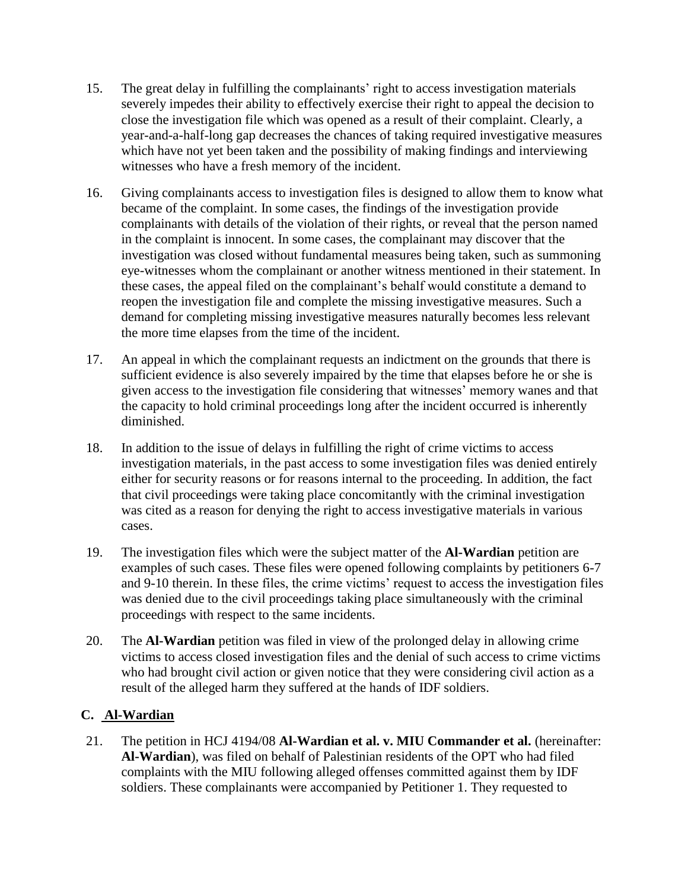- 15. The great delay in fulfilling the complainants' right to access investigation materials severely impedes their ability to effectively exercise their right to appeal the decision to close the investigation file which was opened as a result of their complaint. Clearly, a year-and-a-half-long gap decreases the chances of taking required investigative measures which have not yet been taken and the possibility of making findings and interviewing witnesses who have a fresh memory of the incident.
- 16. Giving complainants access to investigation files is designed to allow them to know what became of the complaint. In some cases, the findings of the investigation provide complainants with details of the violation of their rights, or reveal that the person named in the complaint is innocent. In some cases, the complainant may discover that the investigation was closed without fundamental measures being taken, such as summoning eye-witnesses whom the complainant or another witness mentioned in their statement. In these cases, the appeal filed on the complainant's behalf would constitute a demand to reopen the investigation file and complete the missing investigative measures. Such a demand for completing missing investigative measures naturally becomes less relevant the more time elapses from the time of the incident.
- 17. An appeal in which the complainant requests an indictment on the grounds that there is sufficient evidence is also severely impaired by the time that elapses before he or she is given access to the investigation file considering that witnesses' memory wanes and that the capacity to hold criminal proceedings long after the incident occurred is inherently diminished.
- 18. In addition to the issue of delays in fulfilling the right of crime victims to access investigation materials, in the past access to some investigation files was denied entirely either for security reasons or for reasons internal to the proceeding. In addition, the fact that civil proceedings were taking place concomitantly with the criminal investigation was cited as a reason for denying the right to access investigative materials in various cases.
- 19. The investigation files which were the subject matter of the **Al-Wardian** petition are examples of such cases. These files were opened following complaints by petitioners 6-7 and 9-10 therein. In these files, the crime victims' request to access the investigation files was denied due to the civil proceedings taking place simultaneously with the criminal proceedings with respect to the same incidents.
- 20. The **Al-Wardian** petition was filed in view of the prolonged delay in allowing crime victims to access closed investigation files and the denial of such access to crime victims who had brought civil action or given notice that they were considering civil action as a result of the alleged harm they suffered at the hands of IDF soldiers.

## **C. Al-Wardian**

21. The petition in HCJ 4194/08 **Al-Wardian et al. v. MIU Commander et al.** (hereinafter: **Al-Wardian**), was filed on behalf of Palestinian residents of the OPT who had filed complaints with the MIU following alleged offenses committed against them by IDF soldiers. These complainants were accompanied by Petitioner 1. They requested to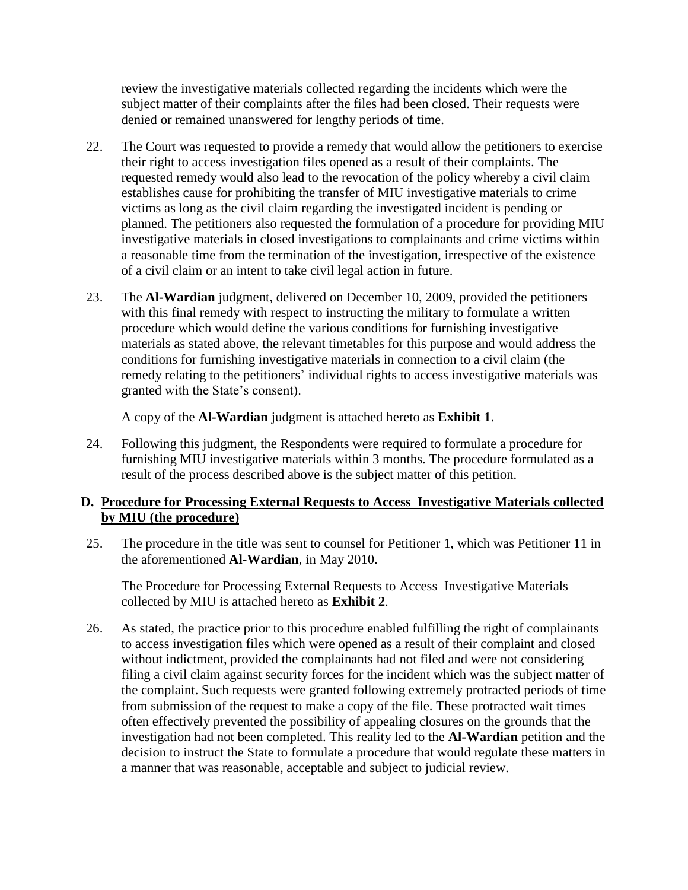review the investigative materials collected regarding the incidents which were the subject matter of their complaints after the files had been closed. Their requests were denied or remained unanswered for lengthy periods of time.

- 22. The Court was requested to provide a remedy that would allow the petitioners to exercise their right to access investigation files opened as a result of their complaints. The requested remedy would also lead to the revocation of the policy whereby a civil claim establishes cause for prohibiting the transfer of MIU investigative materials to crime victims as long as the civil claim regarding the investigated incident is pending or planned. The petitioners also requested the formulation of a procedure for providing MIU investigative materials in closed investigations to complainants and crime victims within a reasonable time from the termination of the investigation, irrespective of the existence of a civil claim or an intent to take civil legal action in future.
- 23. The **Al-Wardian** judgment, delivered on December 10, 2009, provided the petitioners with this final remedy with respect to instructing the military to formulate a written procedure which would define the various conditions for furnishing investigative materials as stated above, the relevant timetables for this purpose and would address the conditions for furnishing investigative materials in connection to a civil claim (the remedy relating to the petitioners' individual rights to access investigative materials was granted with the State's consent).

A copy of the **Al-Wardian** judgment is attached hereto as **Exhibit 1**.

24. Following this judgment, the Respondents were required to formulate a procedure for furnishing MIU investigative materials within 3 months. The procedure formulated as a result of the process described above is the subject matter of this petition.

#### **D. Procedure for Processing External Requests to Access Investigative Materials collected by MIU (the procedure)**

25. The procedure in the title was sent to counsel for Petitioner 1, which was Petitioner 11 in the aforementioned **Al-Wardian**, in May 2010.

The Procedure for Processing External Requests to Access Investigative Materials collected by MIU is attached hereto as **Exhibit 2**.

26. As stated, the practice prior to this procedure enabled fulfilling the right of complainants to access investigation files which were opened as a result of their complaint and closed without indictment, provided the complainants had not filed and were not considering filing a civil claim against security forces for the incident which was the subject matter of the complaint. Such requests were granted following extremely protracted periods of time from submission of the request to make a copy of the file. These protracted wait times often effectively prevented the possibility of appealing closures on the grounds that the investigation had not been completed. This reality led to the **Al-Wardian** petition and the decision to instruct the State to formulate a procedure that would regulate these matters in a manner that was reasonable, acceptable and subject to judicial review.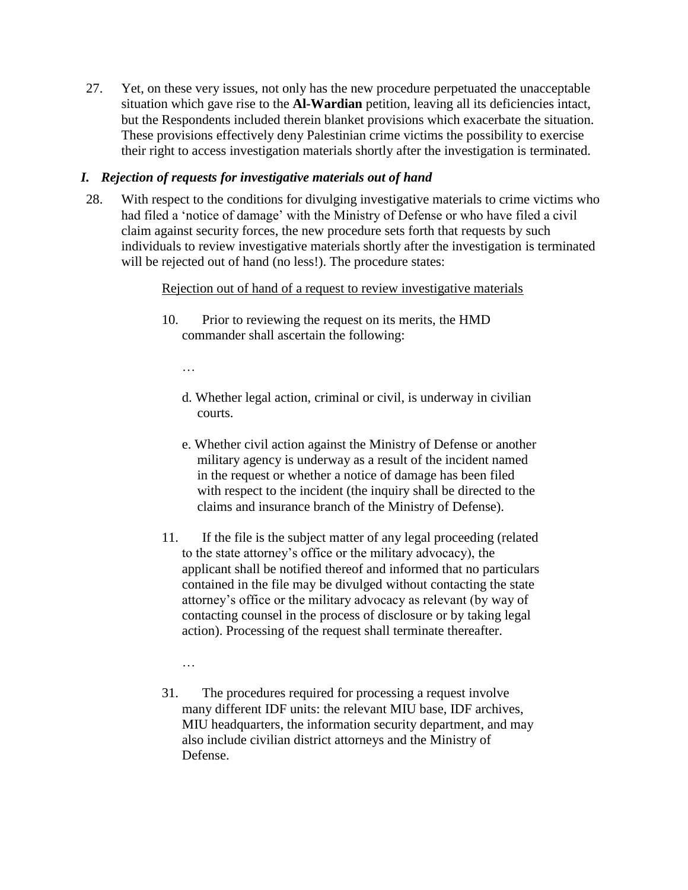27. Yet, on these very issues, not only has the new procedure perpetuated the unacceptable situation which gave rise to the **Al-Wardian** petition, leaving all its deficiencies intact, but the Respondents included therein blanket provisions which exacerbate the situation. These provisions effectively deny Palestinian crime victims the possibility to exercise their right to access investigation materials shortly after the investigation is terminated.

### *I. Rejection of requests for investigative materials out of hand*

28. With respect to the conditions for divulging investigative materials to crime victims who had filed a 'notice of damage' with the Ministry of Defense or who have filed a civil claim against security forces, the new procedure sets forth that requests by such individuals to review investigative materials shortly after the investigation is terminated will be rejected out of hand (no less!). The procedure states:

#### Rejection out of hand of a request to review investigative materials

10. Prior to reviewing the request on its merits, the HMD commander shall ascertain the following:

…

- d. Whether legal action, criminal or civil, is underway in civilian courts.
- e. Whether civil action against the Ministry of Defense or another military agency is underway as a result of the incident named in the request or whether a notice of damage has been filed with respect to the incident (the inquiry shall be directed to the claims and insurance branch of the Ministry of Defense).
- 11. If the file is the subject matter of any legal proceeding (related to the state attorney's office or the military advocacy), the applicant shall be notified thereof and informed that no particulars contained in the file may be divulged without contacting the state attorney's office or the military advocacy as relevant (by way of contacting counsel in the process of disclosure or by taking legal action). Processing of the request shall terminate thereafter.
	- …
- 31. The procedures required for processing a request involve many different IDF units: the relevant MIU base, IDF archives, MIU headquarters, the information security department, and may also include civilian district attorneys and the Ministry of Defense.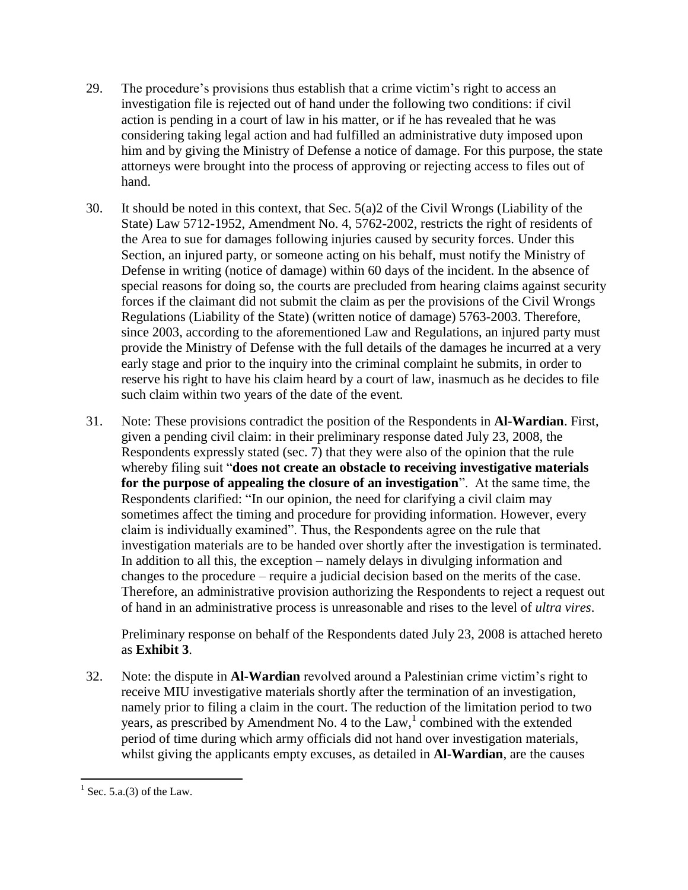- 29. The procedure's provisions thus establish that a crime victim's right to access an investigation file is rejected out of hand under the following two conditions: if civil action is pending in a court of law in his matter, or if he has revealed that he was considering taking legal action and had fulfilled an administrative duty imposed upon him and by giving the Ministry of Defense a notice of damage. For this purpose, the state attorneys were brought into the process of approving or rejecting access to files out of hand.
- 30. It should be noted in this context, that Sec. 5(a)2 of the Civil Wrongs (Liability of the State) Law 5712-1952, Amendment No. 4, 5762-2002, restricts the right of residents of the Area to sue for damages following injuries caused by security forces. Under this Section, an injured party, or someone acting on his behalf, must notify the Ministry of Defense in writing (notice of damage) within 60 days of the incident. In the absence of special reasons for doing so, the courts are precluded from hearing claims against security forces if the claimant did not submit the claim as per the provisions of the Civil Wrongs Regulations (Liability of the State) (written notice of damage) 5763-2003. Therefore, since 2003, according to the aforementioned Law and Regulations, an injured party must provide the Ministry of Defense with the full details of the damages he incurred at a very early stage and prior to the inquiry into the criminal complaint he submits, in order to reserve his right to have his claim heard by a court of law, inasmuch as he decides to file such claim within two years of the date of the event.
- 31. Note: These provisions contradict the position of the Respondents in **Al-Wardian**. First, given a pending civil claim: in their preliminary response dated July 23, 2008, the Respondents expressly stated (sec. 7) that they were also of the opinion that the rule whereby filing suit "**does not create an obstacle to receiving investigative materials for the purpose of appealing the closure of an investigation**". At the same time, the Respondents clarified: "In our opinion, the need for clarifying a civil claim may sometimes affect the timing and procedure for providing information. However, every claim is individually examined". Thus, the Respondents agree on the rule that investigation materials are to be handed over shortly after the investigation is terminated. In addition to all this, the exception – namely delays in divulging information and changes to the procedure – require a judicial decision based on the merits of the case. Therefore, an administrative provision authorizing the Respondents to reject a request out of hand in an administrative process is unreasonable and rises to the level of *ultra vires*.

Preliminary response on behalf of the Respondents dated July 23, 2008 is attached hereto as **Exhibit 3**.

32. Note: the dispute in **Al-Wardian** revolved around a Palestinian crime victim's right to receive MIU investigative materials shortly after the termination of an investigation, namely prior to filing a claim in the court. The reduction of the limitation period to two years, as prescribed by Amendment No. 4 to the Law, $<sup>1</sup>$  combined with the extended</sup> period of time during which army officials did not hand over investigation materials, whilst giving the applicants empty excuses, as detailed in **Al-Wardian**, are the causes

 $\overline{\phantom{a}}$ 

 $1$  Sec. 5.a.(3) of the Law.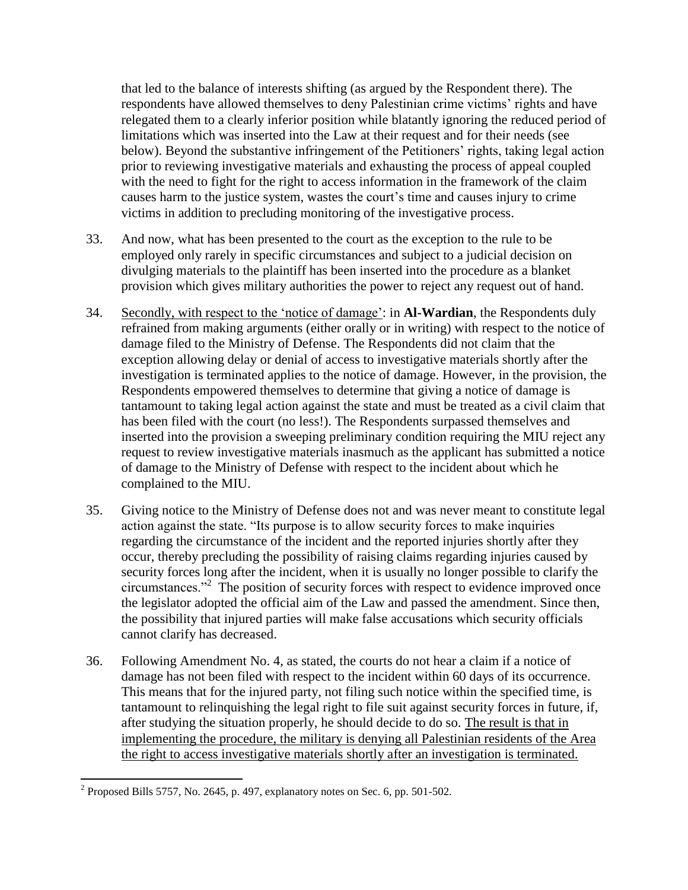that led to the balance of interests shifting (as argued by the Respondent there). The respondents have allowed themselves to deny Palestinian crime victims' rights and have relegated them to a clearly inferior position while blatantly ignoring the reduced period of limitations which was inserted into the Law at their request and for their needs (see below). Beyond the substantive infringement of the Petitioners' rights, taking legal action prior to reviewing investigative materials and exhausting the process of appeal coupled with the need to fight for the right to access information in the framework of the claim causes harm to the justice system, wastes the court's time and causes injury to crime victims in addition to precluding monitoring of the investigative process.

- 33. And now, what has been presented to the court as the exception to the rule to be employed only rarely in specific circumstances and subject to a judicial decision on divulging materials to the plaintiff has been inserted into the procedure as a blanket provision which gives military authorities the power to reject any request out of hand.
- 34. Secondly, with respect to the 'notice of damage': in **Al-Wardian**, the Respondents duly refrained from making arguments (either orally or in writing) with respect to the notice of damage filed to the Ministry of Defense. The Respondents did not claim that the exception allowing delay or denial of access to investigative materials shortly after the investigation is terminated applies to the notice of damage. However, in the provision, the Respondents empowered themselves to determine that giving a notice of damage is tantamount to taking legal action against the state and must be treated as a civil claim that has been filed with the court (no less!). The Respondents surpassed themselves and inserted into the provision a sweeping preliminary condition requiring the MIU reject any request to review investigative materials inasmuch as the applicant has submitted a notice of damage to the Ministry of Defense with respect to the incident about which he complained to the MIU.
- 35. Giving notice to the Ministry of Defense does not and was never meant to constitute legal action against the state. "Its purpose is to allow security forces to make inquiries regarding the circumstance of the incident and the reported injuries shortly after they occur, thereby precluding the possibility of raising claims regarding injuries caused by security forces long after the incident, when it is usually no longer possible to clarify the circumstances."<sup>2</sup> The position of security forces with respect to evidence improved once the legislator adopted the official aim of the Law and passed the amendment. Since then, the possibility that injured parties will make false accusations which security officials cannot clarify has decreased.
- 36. Following Amendment No. 4, as stated, the courts do not hear a claim if a notice of damage has not been filed with respect to the incident within 60 days of its occurrence. This means that for the injured party, not filing such notice within the specified time, is tantamount to relinquishing the legal right to file suit against security forces in future, if, after studying the situation properly, he should decide to do so. The result is that in implementing the procedure, the military is denying all Palestinian residents of the Area the right to access investigative materials shortly after an investigation is terminated.

 $\overline{\phantom{a}}$ 

<sup>&</sup>lt;sup>2</sup> Proposed Bills 5757, No. 2645, p. 497, explanatory notes on Sec. 6, pp. 501-502.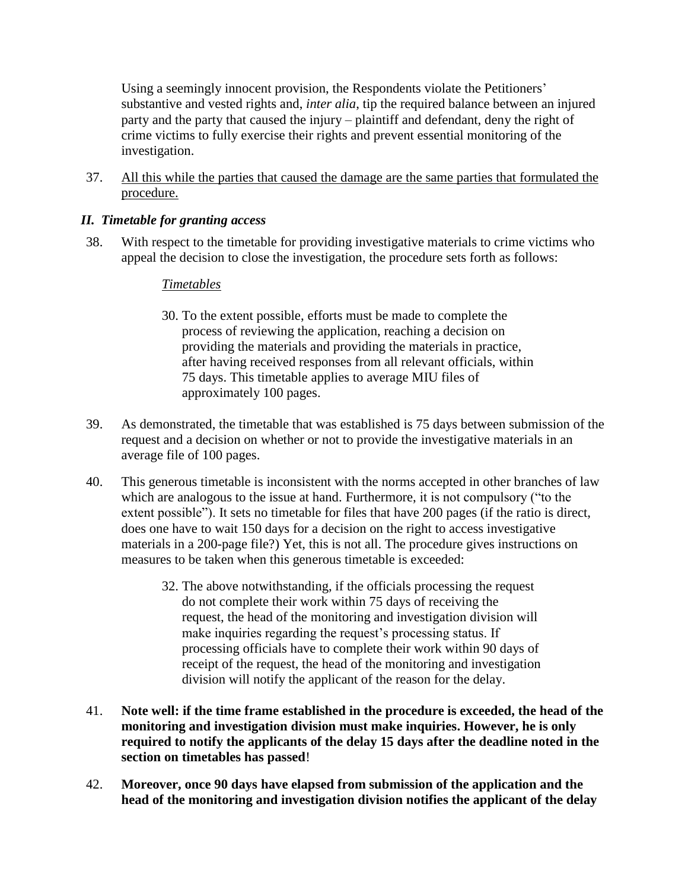Using a seemingly innocent provision, the Respondents violate the Petitioners' substantive and vested rights and, *inter alia*, tip the required balance between an injured party and the party that caused the injury – plaintiff and defendant, deny the right of crime victims to fully exercise their rights and prevent essential monitoring of the investigation.

37. All this while the parties that caused the damage are the same parties that formulated the procedure.

### *II. Timetable for granting access*

38. With respect to the timetable for providing investigative materials to crime victims who appeal the decision to close the investigation, the procedure sets forth as follows:

#### *Timetables*

- 30. To the extent possible, efforts must be made to complete the process of reviewing the application, reaching a decision on providing the materials and providing the materials in practice, after having received responses from all relevant officials, within 75 days. This timetable applies to average MIU files of approximately 100 pages.
- 39. As demonstrated, the timetable that was established is 75 days between submission of the request and a decision on whether or not to provide the investigative materials in an average file of 100 pages.
- 40. This generous timetable is inconsistent with the norms accepted in other branches of law which are analogous to the issue at hand. Furthermore, it is not compulsory ("to the extent possible"). It sets no timetable for files that have 200 pages (if the ratio is direct, does one have to wait 150 days for a decision on the right to access investigative materials in a 200-page file?) Yet, this is not all. The procedure gives instructions on measures to be taken when this generous timetable is exceeded:
	- 32. The above notwithstanding, if the officials processing the request do not complete their work within 75 days of receiving the request, the head of the monitoring and investigation division will make inquiries regarding the request's processing status. If processing officials have to complete their work within 90 days of receipt of the request, the head of the monitoring and investigation division will notify the applicant of the reason for the delay.
- 41. **Note well: if the time frame established in the procedure is exceeded, the head of the monitoring and investigation division must make inquiries. However, he is only required to notify the applicants of the delay 15 days after the deadline noted in the section on timetables has passed**!
- 42. **Moreover, once 90 days have elapsed from submission of the application and the head of the monitoring and investigation division notifies the applicant of the delay**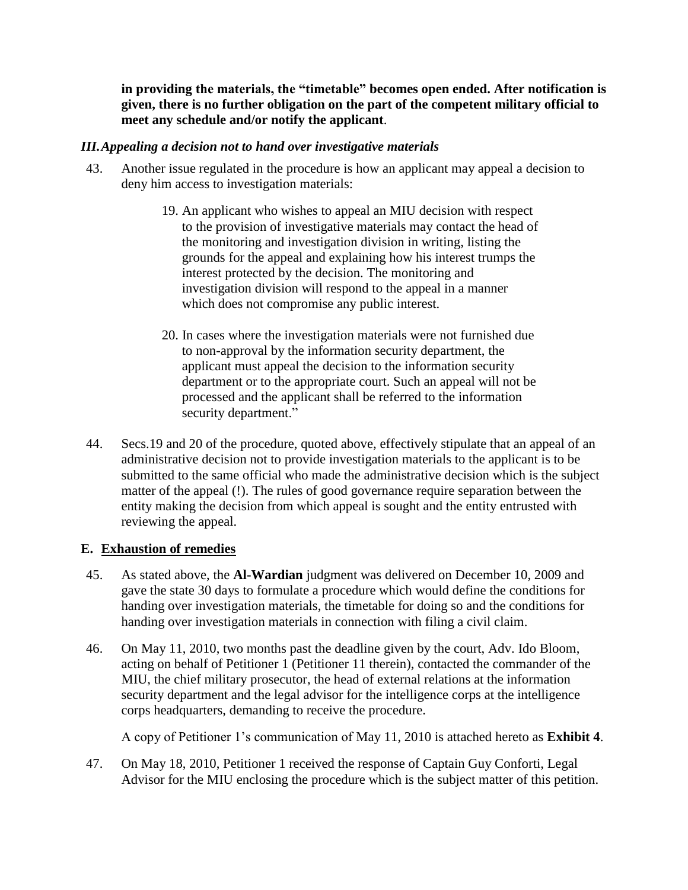**in providing the materials, the "timetable" becomes open ended. After notification is given, there is no further obligation on the part of the competent military official to meet any schedule and/or notify the applicant**.

#### *III.Appealing a decision not to hand over investigative materials*

- 43. Another issue regulated in the procedure is how an applicant may appeal a decision to deny him access to investigation materials:
	- 19. An applicant who wishes to appeal an MIU decision with respect to the provision of investigative materials may contact the head of the monitoring and investigation division in writing, listing the grounds for the appeal and explaining how his interest trumps the interest protected by the decision. The monitoring and investigation division will respond to the appeal in a manner which does not compromise any public interest.
	- 20. In cases where the investigation materials were not furnished due to non-approval by the information security department, the applicant must appeal the decision to the information security department or to the appropriate court. Such an appeal will not be processed and the applicant shall be referred to the information security department."
- 44. Secs.19 and 20 of the procedure, quoted above, effectively stipulate that an appeal of an administrative decision not to provide investigation materials to the applicant is to be submitted to the same official who made the administrative decision which is the subject matter of the appeal (!). The rules of good governance require separation between the entity making the decision from which appeal is sought and the entity entrusted with reviewing the appeal.

#### **E. Exhaustion of remedies**

- 45. As stated above, the **Al-Wardian** judgment was delivered on December 10, 2009 and gave the state 30 days to formulate a procedure which would define the conditions for handing over investigation materials, the timetable for doing so and the conditions for handing over investigation materials in connection with filing a civil claim.
- 46. On May 11, 2010, two months past the deadline given by the court, Adv. Ido Bloom, acting on behalf of Petitioner 1 (Petitioner 11 therein), contacted the commander of the MIU, the chief military prosecutor, the head of external relations at the information security department and the legal advisor for the intelligence corps at the intelligence corps headquarters, demanding to receive the procedure.

A copy of Petitioner 1's communication of May 11, 2010 is attached hereto as **Exhibit 4**.

47. On May 18, 2010, Petitioner 1 received the response of Captain Guy Conforti, Legal Advisor for the MIU enclosing the procedure which is the subject matter of this petition.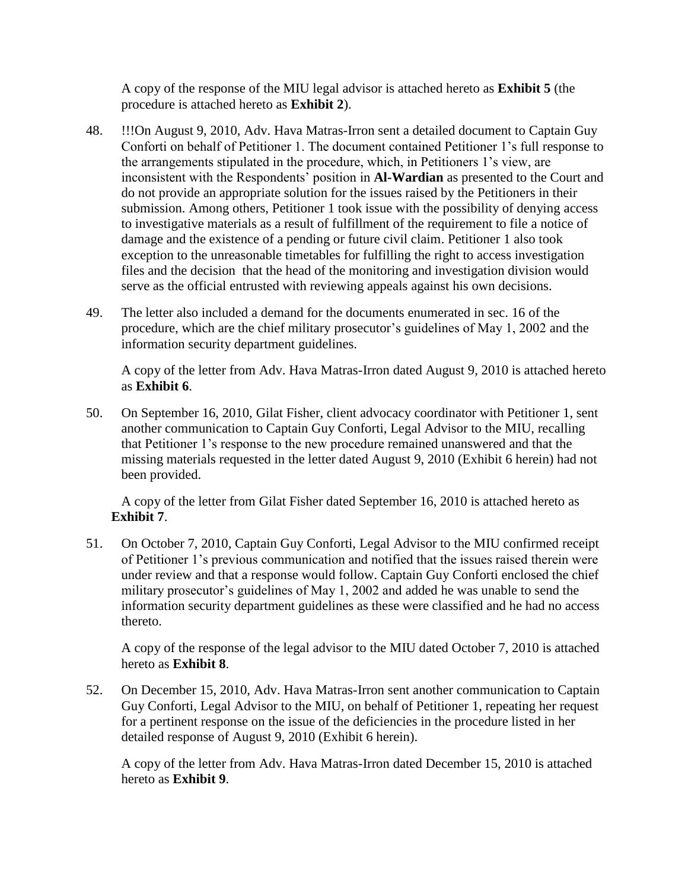A copy of the response of the MIU legal advisor is attached hereto as **Exhibit 5** (the procedure is attached hereto as **Exhibit 2**).

- 48. !!!On August 9, 2010, Adv. Hava Matras-Irron sent a detailed document to Captain Guy Conforti on behalf of Petitioner 1. The document contained Petitioner 1's full response to the arrangements stipulated in the procedure, which, in Petitioners 1's view, are inconsistent with the Respondents' position in **Al-Wardian** as presented to the Court and do not provide an appropriate solution for the issues raised by the Petitioners in their submission. Among others, Petitioner 1 took issue with the possibility of denying access to investigative materials as a result of fulfillment of the requirement to file a notice of damage and the existence of a pending or future civil claim. Petitioner 1 also took exception to the unreasonable timetables for fulfilling the right to access investigation files and the decision that the head of the monitoring and investigation division would serve as the official entrusted with reviewing appeals against his own decisions.
- 49. The letter also included a demand for the documents enumerated in sec. 16 of the procedure, which are the chief military prosecutor's guidelines of May 1, 2002 and the information security department guidelines.

A copy of the letter from Adv. Hava Matras-Irron dated August 9, 2010 is attached hereto as **Exhibit 6**.

50. On September 16, 2010, Gilat Fisher, client advocacy coordinator with Petitioner 1, sent another communication to Captain Guy Conforti, Legal Advisor to the MIU, recalling that Petitioner 1's response to the new procedure remained unanswered and that the missing materials requested in the letter dated August 9, 2010 (Exhibit 6 herein) had not been provided.

A copy of the letter from Gilat Fisher dated September 16, 2010 is attached hereto as **Exhibit 7**.

51. On October 7, 2010, Captain Guy Conforti, Legal Advisor to the MIU confirmed receipt of Petitioner 1's previous communication and notified that the issues raised therein were under review and that a response would follow. Captain Guy Conforti enclosed the chief military prosecutor's guidelines of May 1, 2002 and added he was unable to send the information security department guidelines as these were classified and he had no access thereto.

A copy of the response of the legal advisor to the MIU dated October 7, 2010 is attached hereto as **Exhibit 8**.

52. On December 15, 2010, Adv. Hava Matras-Irron sent another communication to Captain Guy Conforti, Legal Advisor to the MIU, on behalf of Petitioner 1, repeating her request for a pertinent response on the issue of the deficiencies in the procedure listed in her detailed response of August 9, 2010 (Exhibit 6 herein).

A copy of the letter from Adv. Hava Matras-Irron dated December 15, 2010 is attached hereto as **Exhibit 9**.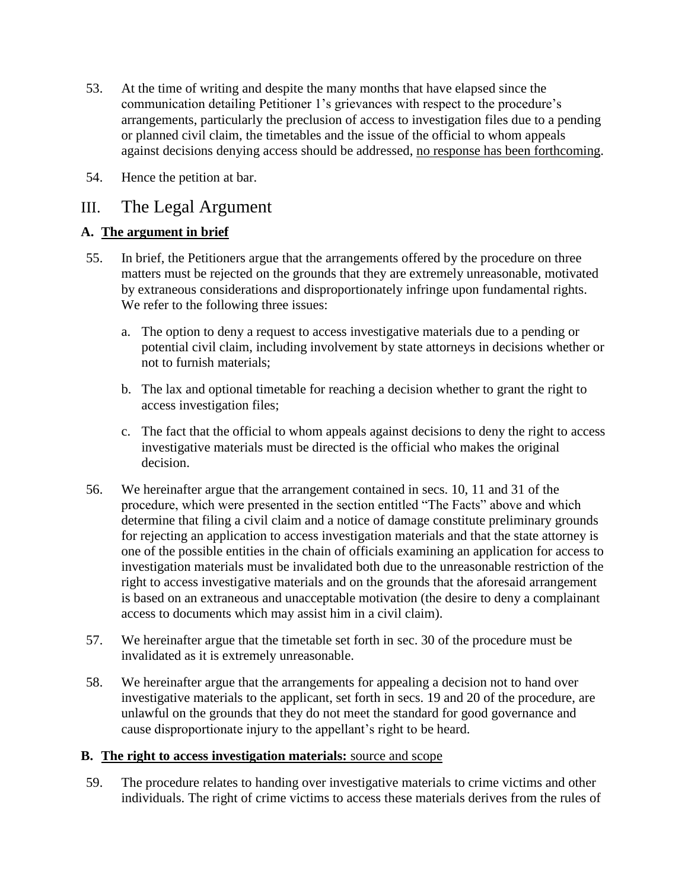- 53. At the time of writing and despite the many months that have elapsed since the communication detailing Petitioner 1's grievances with respect to the procedure's arrangements, particularly the preclusion of access to investigation files due to a pending or planned civil claim, the timetables and the issue of the official to whom appeals against decisions denying access should be addressed, no response has been forthcoming.
- 54. Hence the petition at bar.

# III. The Legal Argument

### **A. The argument in brief**

- 55. In brief, the Petitioners argue that the arrangements offered by the procedure on three matters must be rejected on the grounds that they are extremely unreasonable, motivated by extraneous considerations and disproportionately infringe upon fundamental rights. We refer to the following three issues:
	- a. The option to deny a request to access investigative materials due to a pending or potential civil claim, including involvement by state attorneys in decisions whether or not to furnish materials;
	- b. The lax and optional timetable for reaching a decision whether to grant the right to access investigation files;
	- c. The fact that the official to whom appeals against decisions to deny the right to access investigative materials must be directed is the official who makes the original decision.
- 56. We hereinafter argue that the arrangement contained in secs. 10, 11 and 31 of the procedure, which were presented in the section entitled "The Facts" above and which determine that filing a civil claim and a notice of damage constitute preliminary grounds for rejecting an application to access investigation materials and that the state attorney is one of the possible entities in the chain of officials examining an application for access to investigation materials must be invalidated both due to the unreasonable restriction of the right to access investigative materials and on the grounds that the aforesaid arrangement is based on an extraneous and unacceptable motivation (the desire to deny a complainant access to documents which may assist him in a civil claim).
- 57. We hereinafter argue that the timetable set forth in sec. 30 of the procedure must be invalidated as it is extremely unreasonable.
- 58. We hereinafter argue that the arrangements for appealing a decision not to hand over investigative materials to the applicant, set forth in secs. 19 and 20 of the procedure, are unlawful on the grounds that they do not meet the standard for good governance and cause disproportionate injury to the appellant's right to be heard.

#### **B. The right to access investigation materials:** source and scope

59. The procedure relates to handing over investigative materials to crime victims and other individuals. The right of crime victims to access these materials derives from the rules of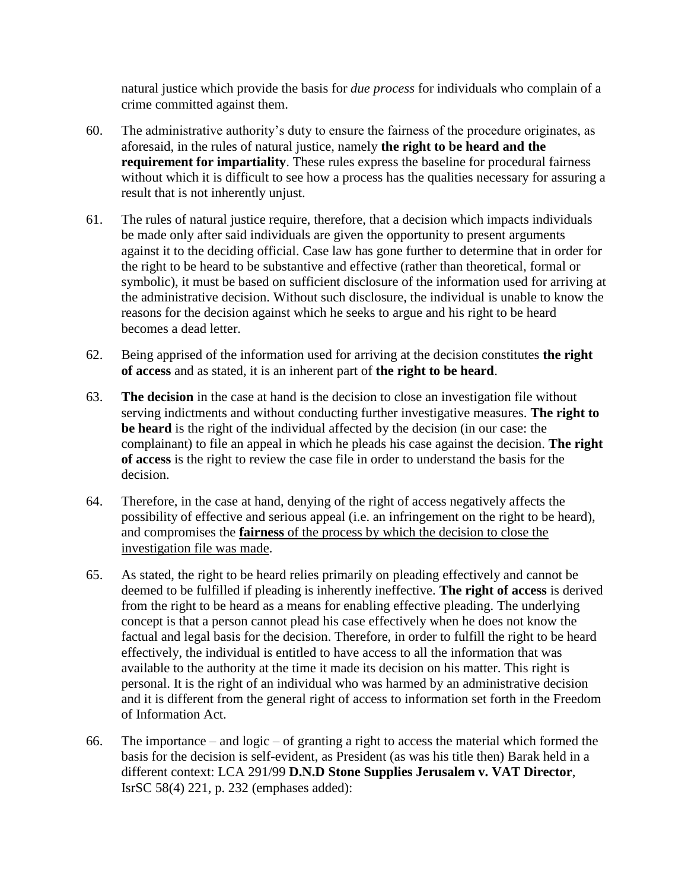natural justice which provide the basis for *due process* for individuals who complain of a crime committed against them.

- 60. The administrative authority's duty to ensure the fairness of the procedure originates, as aforesaid, in the rules of natural justice, namely **the right to be heard and the requirement for impartiality**. These rules express the baseline for procedural fairness without which it is difficult to see how a process has the qualities necessary for assuring a result that is not inherently unjust.
- 61. The rules of natural justice require, therefore, that a decision which impacts individuals be made only after said individuals are given the opportunity to present arguments against it to the deciding official. Case law has gone further to determine that in order for the right to be heard to be substantive and effective (rather than theoretical, formal or symbolic), it must be based on sufficient disclosure of the information used for arriving at the administrative decision. Without such disclosure, the individual is unable to know the reasons for the decision against which he seeks to argue and his right to be heard becomes a dead letter.
- 62. Being apprised of the information used for arriving at the decision constitutes **the right of access** and as stated, it is an inherent part of **the right to be heard**.
- 63. **The decision** in the case at hand is the decision to close an investigation file without serving indictments and without conducting further investigative measures. **The right to be heard** is the right of the individual affected by the decision (in our case: the complainant) to file an appeal in which he pleads his case against the decision. **The right of access** is the right to review the case file in order to understand the basis for the decision.
- 64. Therefore, in the case at hand, denying of the right of access negatively affects the possibility of effective and serious appeal (i.e. an infringement on the right to be heard), and compromises the **fairness** of the process by which the decision to close the investigation file was made.
- 65. As stated, the right to be heard relies primarily on pleading effectively and cannot be deemed to be fulfilled if pleading is inherently ineffective. **The right of access** is derived from the right to be heard as a means for enabling effective pleading. The underlying concept is that a person cannot plead his case effectively when he does not know the factual and legal basis for the decision. Therefore, in order to fulfill the right to be heard effectively, the individual is entitled to have access to all the information that was available to the authority at the time it made its decision on his matter. This right is personal. It is the right of an individual who was harmed by an administrative decision and it is different from the general right of access to information set forth in the Freedom of Information Act.
- 66. The importance and logic of granting a right to access the material which formed the basis for the decision is self-evident, as President (as was his title then) Barak held in a different context: LCA 291/99 **D.N.D Stone Supplies Jerusalem v. VAT Director**, IsrSC 58(4) 221, p. 232 (emphases added):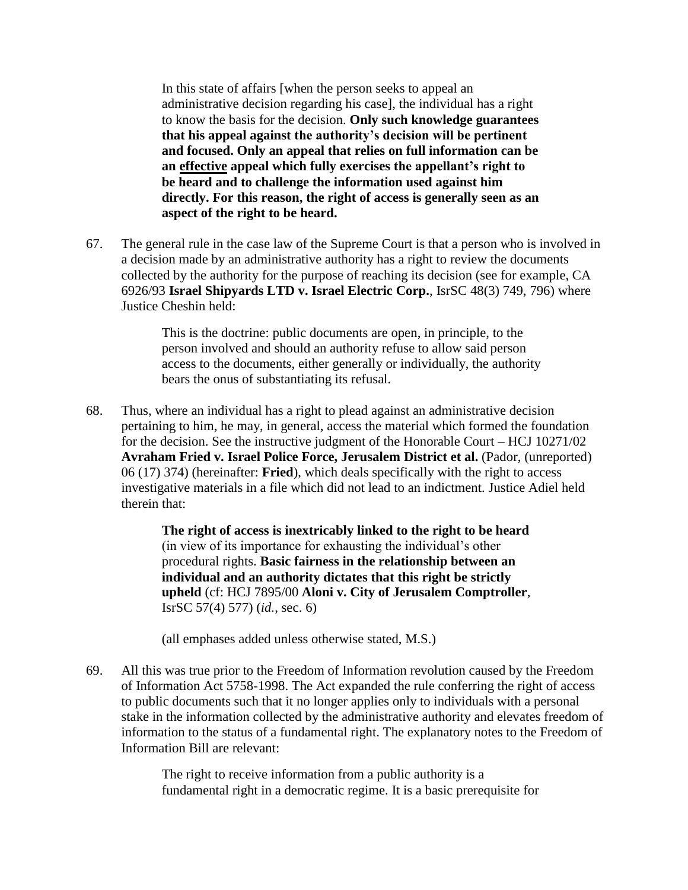In this state of affairs [when the person seeks to appeal an administrative decision regarding his case], the individual has a right to know the basis for the decision. **Only such knowledge guarantees that his appeal against the authority's decision will be pertinent and focused. Only an appeal that relies on full information can be an effective appeal which fully exercises the appellant's right to be heard and to challenge the information used against him directly. For this reason, the right of access is generally seen as an aspect of the right to be heard.**

67. The general rule in the case law of the Supreme Court is that a person who is involved in a decision made by an administrative authority has a right to review the documents collected by the authority for the purpose of reaching its decision (see for example, CA 6926/93 **Israel Shipyards LTD v. Israel Electric Corp.**, IsrSC 48(3) 749, 796) where Justice Cheshin held:

> This is the doctrine: public documents are open, in principle, to the person involved and should an authority refuse to allow said person access to the documents, either generally or individually, the authority bears the onus of substantiating its refusal.

68. Thus, where an individual has a right to plead against an administrative decision pertaining to him, he may, in general, access the material which formed the foundation for the decision. See the instructive judgment of the Honorable Court – HCJ 10271/02 **Avraham Fried v. Israel Police Force, Jerusalem District et al.** (Pador, (unreported) 06 (17) 374) (hereinafter: **Fried**), which deals specifically with the right to access investigative materials in a file which did not lead to an indictment. Justice Adiel held therein that:

> **The right of access is inextricably linked to the right to be heard** (in view of its importance for exhausting the individual's other procedural rights. **Basic fairness in the relationship between an individual and an authority dictates that this right be strictly upheld** (cf: HCJ 7895/00 **Aloni v. City of Jerusalem Comptroller**, IsrSC 57(4) 577) (*id.*, sec. 6)

(all emphases added unless otherwise stated, M.S.)

69. All this was true prior to the Freedom of Information revolution caused by the Freedom of Information Act 5758-1998. The Act expanded the rule conferring the right of access to public documents such that it no longer applies only to individuals with a personal stake in the information collected by the administrative authority and elevates freedom of information to the status of a fundamental right. The explanatory notes to the Freedom of Information Bill are relevant:

> The right to receive information from a public authority is a fundamental right in a democratic regime. It is a basic prerequisite for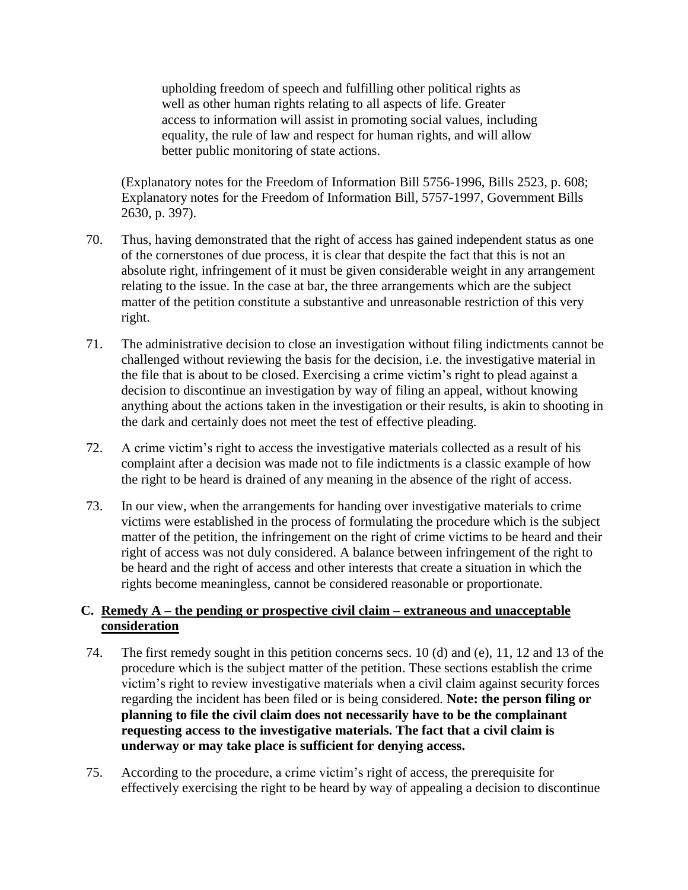upholding freedom of speech and fulfilling other political rights as well as other human rights relating to all aspects of life. Greater access to information will assist in promoting social values, including equality, the rule of law and respect for human rights, and will allow better public monitoring of state actions.

(Explanatory notes for the Freedom of Information Bill 5756-1996, Bills 2523, p. 608; Explanatory notes for the Freedom of Information Bill, 5757-1997, Government Bills 2630, p. 397).

- 70. Thus, having demonstrated that the right of access has gained independent status as one of the cornerstones of due process, it is clear that despite the fact that this is not an absolute right, infringement of it must be given considerable weight in any arrangement relating to the issue. In the case at bar, the three arrangements which are the subject matter of the petition constitute a substantive and unreasonable restriction of this very right.
- 71. The administrative decision to close an investigation without filing indictments cannot be challenged without reviewing the basis for the decision, i.e. the investigative material in the file that is about to be closed. Exercising a crime victim's right to plead against a decision to discontinue an investigation by way of filing an appeal, without knowing anything about the actions taken in the investigation or their results, is akin to shooting in the dark and certainly does not meet the test of effective pleading.
- 72. A crime victim's right to access the investigative materials collected as a result of his complaint after a decision was made not to file indictments is a classic example of how the right to be heard is drained of any meaning in the absence of the right of access.
- 73. In our view, when the arrangements for handing over investigative materials to crime victims were established in the process of formulating the procedure which is the subject matter of the petition, the infringement on the right of crime victims to be heard and their right of access was not duly considered. A balance between infringement of the right to be heard and the right of access and other interests that create a situation in which the rights become meaningless, cannot be considered reasonable or proportionate.

#### **C. Remedy A – the pending or prospective civil claim – extraneous and unacceptable consideration**

- 74. The first remedy sought in this petition concerns secs. 10 (d) and (e), 11, 12 and 13 of the procedure which is the subject matter of the petition. These sections establish the crime victim's right to review investigative materials when a civil claim against security forces regarding the incident has been filed or is being considered. **Note: the person filing or planning to file the civil claim does not necessarily have to be the complainant requesting access to the investigative materials. The fact that a civil claim is underway or may take place is sufficient for denying access.**
- 75. According to the procedure, a crime victim's right of access, the prerequisite for effectively exercising the right to be heard by way of appealing a decision to discontinue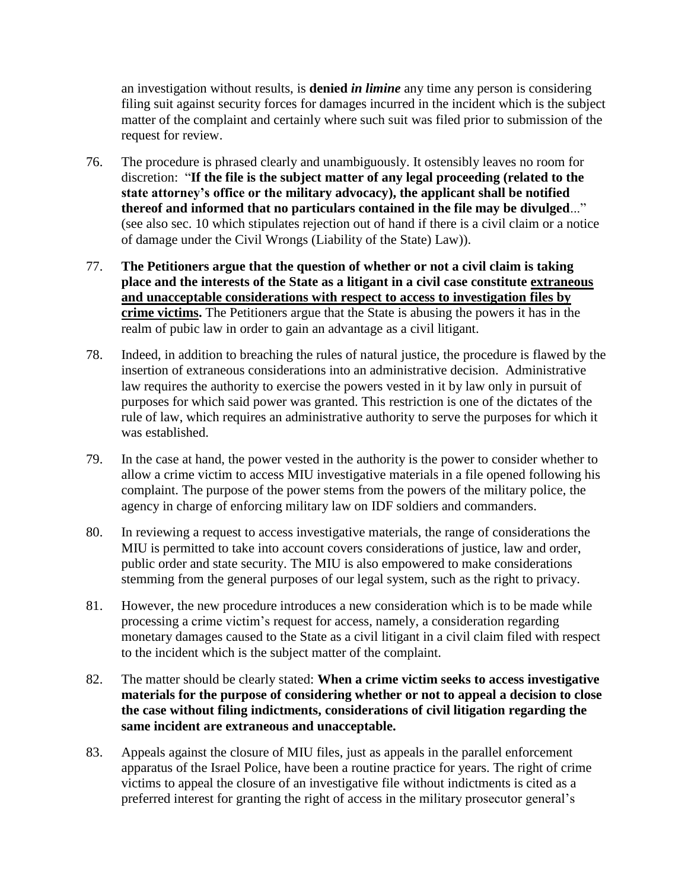an investigation without results, is **denied** *in limine* any time any person is considering filing suit against security forces for damages incurred in the incident which is the subject matter of the complaint and certainly where such suit was filed prior to submission of the request for review.

- 76. The procedure is phrased clearly and unambiguously. It ostensibly leaves no room for discretion: "**If the file is the subject matter of any legal proceeding (related to the state attorney's office or the military advocacy), the applicant shall be notified thereof and informed that no particulars contained in the file may be divulged**..." (see also sec. 10 which stipulates rejection out of hand if there is a civil claim or a notice of damage under the Civil Wrongs (Liability of the State) Law)).
- 77. **The Petitioners argue that the question of whether or not a civil claim is taking place and the interests of the State as a litigant in a civil case constitute extraneous and unacceptable considerations with respect to access to investigation files by crime victims.** The Petitioners argue that the State is abusing the powers it has in the realm of pubic law in order to gain an advantage as a civil litigant.
- 78. Indeed, in addition to breaching the rules of natural justice, the procedure is flawed by the insertion of extraneous considerations into an administrative decision. Administrative law requires the authority to exercise the powers vested in it by law only in pursuit of purposes for which said power was granted. This restriction is one of the dictates of the rule of law, which requires an administrative authority to serve the purposes for which it was established.
- 79. In the case at hand, the power vested in the authority is the power to consider whether to allow a crime victim to access MIU investigative materials in a file opened following his complaint. The purpose of the power stems from the powers of the military police, the agency in charge of enforcing military law on IDF soldiers and commanders.
- 80. In reviewing a request to access investigative materials, the range of considerations the MIU is permitted to take into account covers considerations of justice, law and order, public order and state security. The MIU is also empowered to make considerations stemming from the general purposes of our legal system, such as the right to privacy.
- 81. However, the new procedure introduces a new consideration which is to be made while processing a crime victim's request for access, namely, a consideration regarding monetary damages caused to the State as a civil litigant in a civil claim filed with respect to the incident which is the subject matter of the complaint.
- 82. The matter should be clearly stated: **When a crime victim seeks to access investigative materials for the purpose of considering whether or not to appeal a decision to close the case without filing indictments, considerations of civil litigation regarding the same incident are extraneous and unacceptable.**
- 83. Appeals against the closure of MIU files, just as appeals in the parallel enforcement apparatus of the Israel Police, have been a routine practice for years. The right of crime victims to appeal the closure of an investigative file without indictments is cited as a preferred interest for granting the right of access in the military prosecutor general's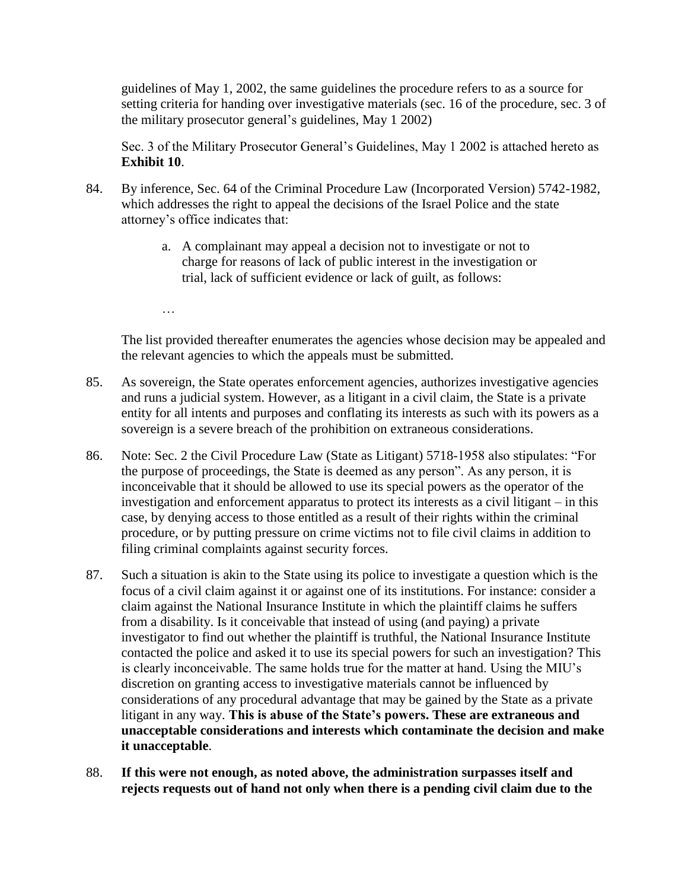guidelines of May 1, 2002, the same guidelines the procedure refers to as a source for setting criteria for handing over investigative materials (sec. 16 of the procedure, sec. 3 of the military prosecutor general's guidelines, May 1 2002)

Sec. 3 of the Military Prosecutor General's Guidelines, May 1 2002 is attached hereto as **Exhibit 10**.

- 84. By inference, Sec. 64 of the Criminal Procedure Law (Incorporated Version) 5742-1982, which addresses the right to appeal the decisions of the Israel Police and the state attorney's office indicates that:
	- a. A complainant may appeal a decision not to investigate or not to charge for reasons of lack of public interest in the investigation or trial, lack of sufficient evidence or lack of guilt, as follows:

…

The list provided thereafter enumerates the agencies whose decision may be appealed and the relevant agencies to which the appeals must be submitted.

- 85. As sovereign, the State operates enforcement agencies, authorizes investigative agencies and runs a judicial system. However, as a litigant in a civil claim, the State is a private entity for all intents and purposes and conflating its interests as such with its powers as a sovereign is a severe breach of the prohibition on extraneous considerations.
- 86. Note: Sec. 2 the Civil Procedure Law (State as Litigant) 5718-1958 also stipulates: "For the purpose of proceedings, the State is deemed as any person". As any person, it is inconceivable that it should be allowed to use its special powers as the operator of the investigation and enforcement apparatus to protect its interests as a civil litigant – in this case, by denying access to those entitled as a result of their rights within the criminal procedure, or by putting pressure on crime victims not to file civil claims in addition to filing criminal complaints against security forces.
- 87. Such a situation is akin to the State using its police to investigate a question which is the focus of a civil claim against it or against one of its institutions. For instance: consider a claim against the National Insurance Institute in which the plaintiff claims he suffers from a disability. Is it conceivable that instead of using (and paying) a private investigator to find out whether the plaintiff is truthful, the National Insurance Institute contacted the police and asked it to use its special powers for such an investigation? This is clearly inconceivable. The same holds true for the matter at hand. Using the MIU's discretion on granting access to investigative materials cannot be influenced by considerations of any procedural advantage that may be gained by the State as a private litigant in any way. **This is abuse of the State's powers. These are extraneous and unacceptable considerations and interests which contaminate the decision and make it unacceptable**.
- 88. **If this were not enough, as noted above, the administration surpasses itself and rejects requests out of hand not only when there is a pending civil claim due to the**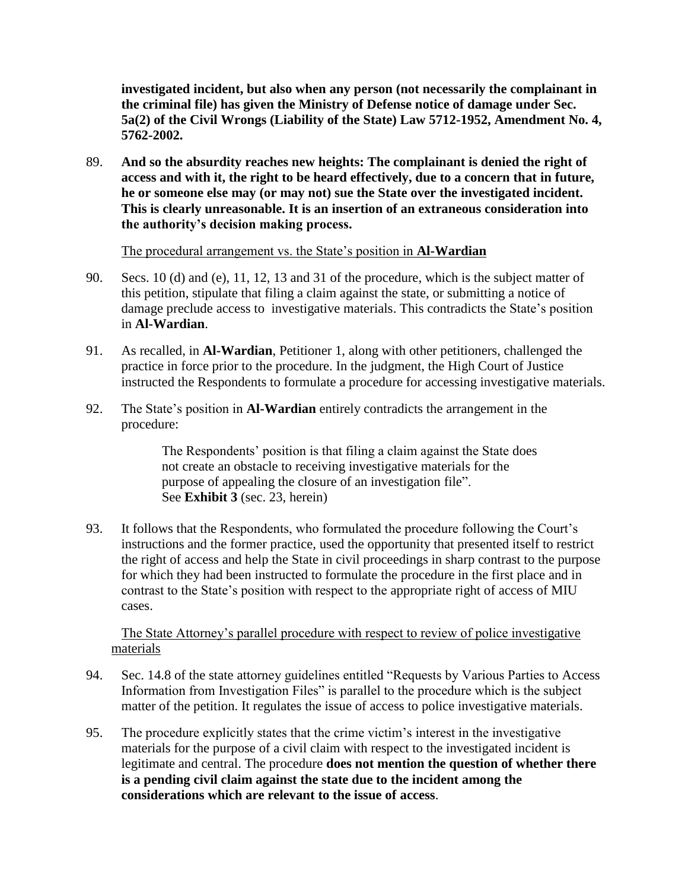**investigated incident, but also when any person (not necessarily the complainant in the criminal file) has given the Ministry of Defense notice of damage under Sec. 5a(2) of the Civil Wrongs (Liability of the State) Law 5712-1952, Amendment No. 4, 5762-2002.**

89. **And so the absurdity reaches new heights: The complainant is denied the right of access and with it, the right to be heard effectively, due to a concern that in future, he or someone else may (or may not) sue the State over the investigated incident. This is clearly unreasonable. It is an insertion of an extraneous consideration into the authority's decision making process.**

The procedural arrangement vs. the State's position in **Al-Wardian**

- 90. Secs. 10 (d) and (e), 11, 12, 13 and 31 of the procedure, which is the subject matter of this petition, stipulate that filing a claim against the state, or submitting a notice of damage preclude access to investigative materials. This contradicts the State's position in **Al-Wardian**.
- 91. As recalled, in **Al-Wardian**, Petitioner 1, along with other petitioners, challenged the practice in force prior to the procedure. In the judgment, the High Court of Justice instructed the Respondents to formulate a procedure for accessing investigative materials.
- 92. The State's position in **Al-Wardian** entirely contradicts the arrangement in the procedure:

The Respondents' position is that filing a claim against the State does not create an obstacle to receiving investigative materials for the purpose of appealing the closure of an investigation file". See **Exhibit 3** (sec. 23, herein)

93. It follows that the Respondents, who formulated the procedure following the Court's instructions and the former practice, used the opportunity that presented itself to restrict the right of access and help the State in civil proceedings in sharp contrast to the purpose for which they had been instructed to formulate the procedure in the first place and in contrast to the State's position with respect to the appropriate right of access of MIU cases.

The State Attorney's parallel procedure with respect to review of police investigative materials

- 94. Sec. 14.8 of the state attorney guidelines entitled "Requests by Various Parties to Access Information from Investigation Files" is parallel to the procedure which is the subject matter of the petition. It regulates the issue of access to police investigative materials.
- 95. The procedure explicitly states that the crime victim's interest in the investigative materials for the purpose of a civil claim with respect to the investigated incident is legitimate and central. The procedure **does not mention the question of whether there is a pending civil claim against the state due to the incident among the considerations which are relevant to the issue of access**.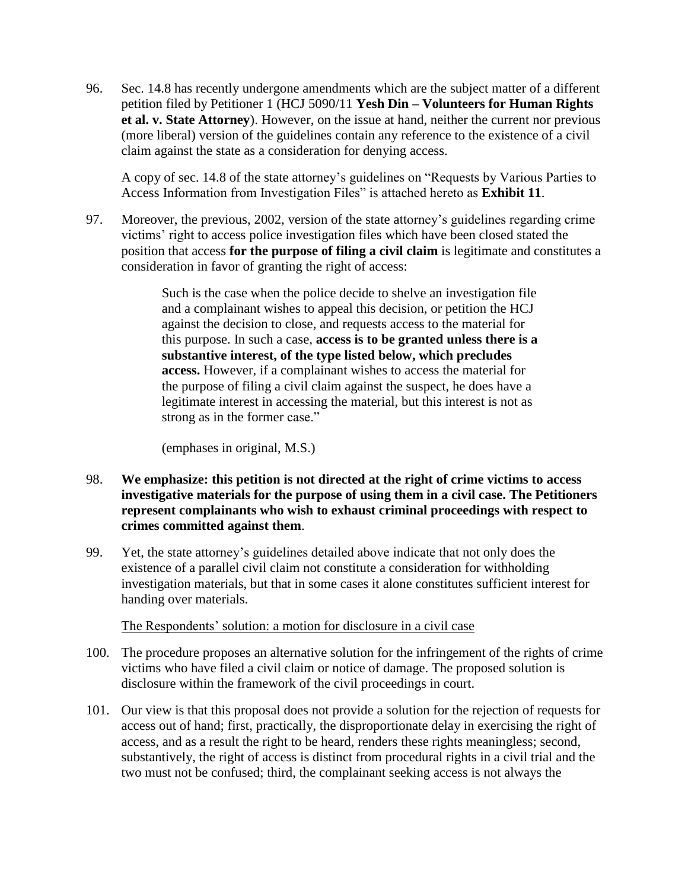96. Sec. 14.8 has recently undergone amendments which are the subject matter of a different petition filed by Petitioner 1 (HCJ 5090/11 **Yesh Din – Volunteers for Human Rights et al. v. State Attorney**). However, on the issue at hand, neither the current nor previous (more liberal) version of the guidelines contain any reference to the existence of a civil claim against the state as a consideration for denying access.

A copy of sec. 14.8 of the state attorney's guidelines on "Requests by Various Parties to Access Information from Investigation Files" is attached hereto as **Exhibit 11**.

97. Moreover, the previous, 2002, version of the state attorney's guidelines regarding crime victims' right to access police investigation files which have been closed stated the position that access **for the purpose of filing a civil claim** is legitimate and constitutes a consideration in favor of granting the right of access:

> Such is the case when the police decide to shelve an investigation file and a complainant wishes to appeal this decision, or petition the HCJ against the decision to close, and requests access to the material for this purpose. In such a case, **access is to be granted unless there is a substantive interest, of the type listed below, which precludes access.** However, if a complainant wishes to access the material for the purpose of filing a civil claim against the suspect, he does have a legitimate interest in accessing the material, but this interest is not as strong as in the former case."

(emphases in original, M.S.)

- 98. **We emphasize: this petition is not directed at the right of crime victims to access investigative materials for the purpose of using them in a civil case. The Petitioners represent complainants who wish to exhaust criminal proceedings with respect to crimes committed against them**.
- 99. Yet, the state attorney's guidelines detailed above indicate that not only does the existence of a parallel civil claim not constitute a consideration for withholding investigation materials, but that in some cases it alone constitutes sufficient interest for handing over materials.

The Respondents' solution: a motion for disclosure in a civil case

- 100. The procedure proposes an alternative solution for the infringement of the rights of crime victims who have filed a civil claim or notice of damage. The proposed solution is disclosure within the framework of the civil proceedings in court.
- 101. Our view is that this proposal does not provide a solution for the rejection of requests for access out of hand; first, practically, the disproportionate delay in exercising the right of access, and as a result the right to be heard, renders these rights meaningless; second, substantively, the right of access is distinct from procedural rights in a civil trial and the two must not be confused; third, the complainant seeking access is not always the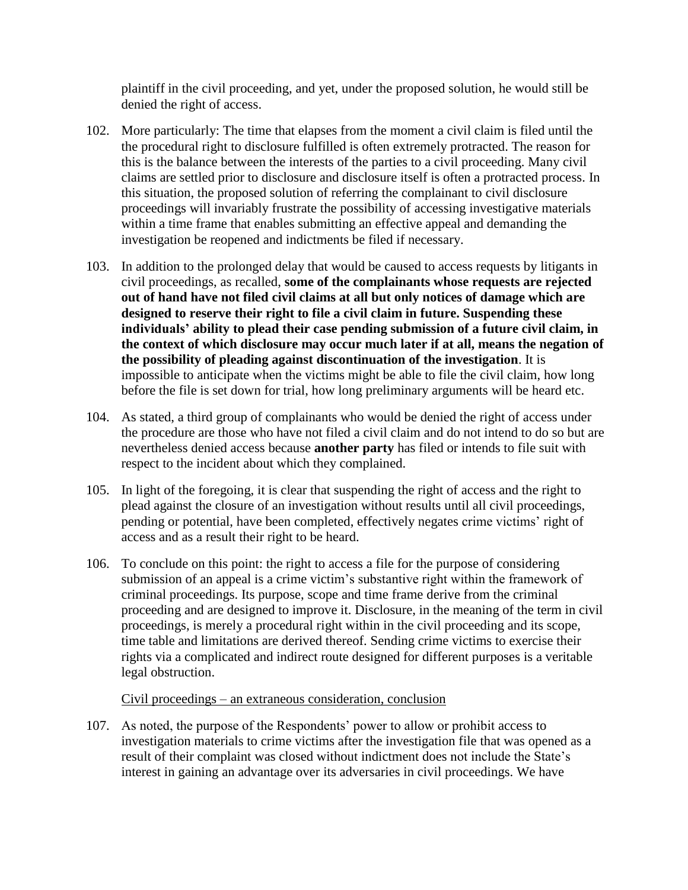plaintiff in the civil proceeding, and yet, under the proposed solution, he would still be denied the right of access.

- 102. More particularly: The time that elapses from the moment a civil claim is filed until the the procedural right to disclosure fulfilled is often extremely protracted. The reason for this is the balance between the interests of the parties to a civil proceeding. Many civil claims are settled prior to disclosure and disclosure itself is often a protracted process. In this situation, the proposed solution of referring the complainant to civil disclosure proceedings will invariably frustrate the possibility of accessing investigative materials within a time frame that enables submitting an effective appeal and demanding the investigation be reopened and indictments be filed if necessary.
- 103. In addition to the prolonged delay that would be caused to access requests by litigants in civil proceedings, as recalled, **some of the complainants whose requests are rejected out of hand have not filed civil claims at all but only notices of damage which are designed to reserve their right to file a civil claim in future. Suspending these individuals' ability to plead their case pending submission of a future civil claim, in the context of which disclosure may occur much later if at all, means the negation of the possibility of pleading against discontinuation of the investigation**. It is impossible to anticipate when the victims might be able to file the civil claim, how long before the file is set down for trial, how long preliminary arguments will be heard etc.
- 104. As stated, a third group of complainants who would be denied the right of access under the procedure are those who have not filed a civil claim and do not intend to do so but are nevertheless denied access because **another party** has filed or intends to file suit with respect to the incident about which they complained.
- 105. In light of the foregoing, it is clear that suspending the right of access and the right to plead against the closure of an investigation without results until all civil proceedings, pending or potential, have been completed, effectively negates crime victims' right of access and as a result their right to be heard.
- 106. To conclude on this point: the right to access a file for the purpose of considering submission of an appeal is a crime victim's substantive right within the framework of criminal proceedings. Its purpose, scope and time frame derive from the criminal proceeding and are designed to improve it. Disclosure, in the meaning of the term in civil proceedings, is merely a procedural right within in the civil proceeding and its scope, time table and limitations are derived thereof. Sending crime victims to exercise their rights via a complicated and indirect route designed for different purposes is a veritable legal obstruction.

#### Civil proceedings – an extraneous consideration, conclusion

107. As noted, the purpose of the Respondents' power to allow or prohibit access to investigation materials to crime victims after the investigation file that was opened as a result of their complaint was closed without indictment does not include the State's interest in gaining an advantage over its adversaries in civil proceedings. We have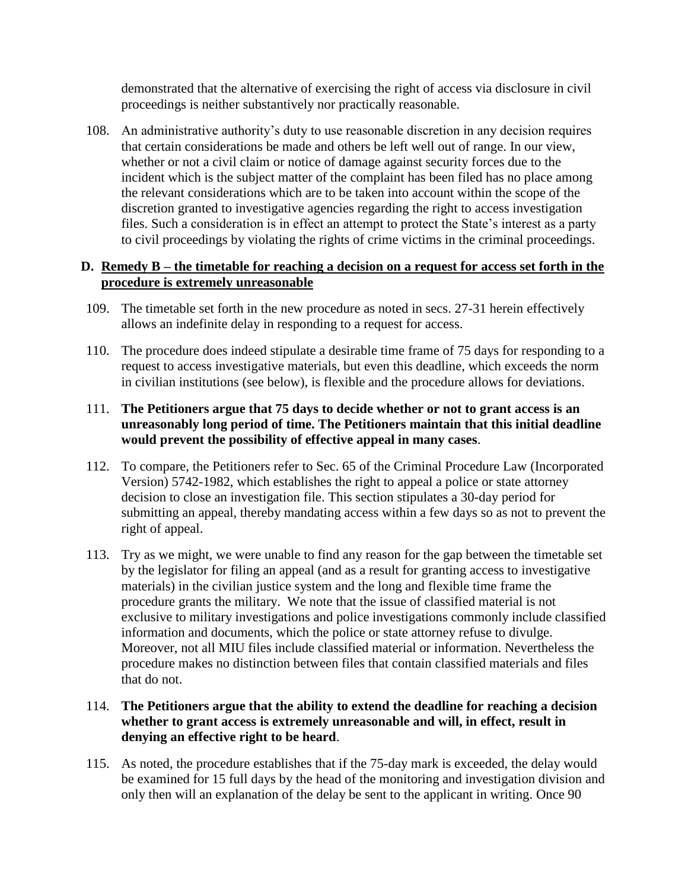demonstrated that the alternative of exercising the right of access via disclosure in civil proceedings is neither substantively nor practically reasonable.

108. An administrative authority's duty to use reasonable discretion in any decision requires that certain considerations be made and others be left well out of range. In our view, whether or not a civil claim or notice of damage against security forces due to the incident which is the subject matter of the complaint has been filed has no place among the relevant considerations which are to be taken into account within the scope of the discretion granted to investigative agencies regarding the right to access investigation files. Such a consideration is in effect an attempt to protect the State's interest as a party to civil proceedings by violating the rights of crime victims in the criminal proceedings.

#### **D. Remedy B – the timetable for reaching a decision on a request for access set forth in the procedure is extremely unreasonable**

- 109. The timetable set forth in the new procedure as noted in secs. 27-31 herein effectively allows an indefinite delay in responding to a request for access.
- 110. The procedure does indeed stipulate a desirable time frame of 75 days for responding to a request to access investigative materials, but even this deadline, which exceeds the norm in civilian institutions (see below), is flexible and the procedure allows for deviations.

#### 111. **The Petitioners argue that 75 days to decide whether or not to grant access is an unreasonably long period of time. The Petitioners maintain that this initial deadline would prevent the possibility of effective appeal in many cases**.

- 112. To compare, the Petitioners refer to Sec. 65 of the Criminal Procedure Law (Incorporated Version) 5742-1982, which establishes the right to appeal a police or state attorney decision to close an investigation file. This section stipulates a 30-day period for submitting an appeal, thereby mandating access within a few days so as not to prevent the right of appeal.
- 113. Try as we might, we were unable to find any reason for the gap between the timetable set by the legislator for filing an appeal (and as a result for granting access to investigative materials) in the civilian justice system and the long and flexible time frame the procedure grants the military. We note that the issue of classified material is not exclusive to military investigations and police investigations commonly include classified information and documents, which the police or state attorney refuse to divulge. Moreover, not all MIU files include classified material or information. Nevertheless the procedure makes no distinction between files that contain classified materials and files that do not.

#### 114. **The Petitioners argue that the ability to extend the deadline for reaching a decision whether to grant access is extremely unreasonable and will, in effect, result in denying an effective right to be heard**.

115. As noted, the procedure establishes that if the 75-day mark is exceeded, the delay would be examined for 15 full days by the head of the monitoring and investigation division and only then will an explanation of the delay be sent to the applicant in writing. Once 90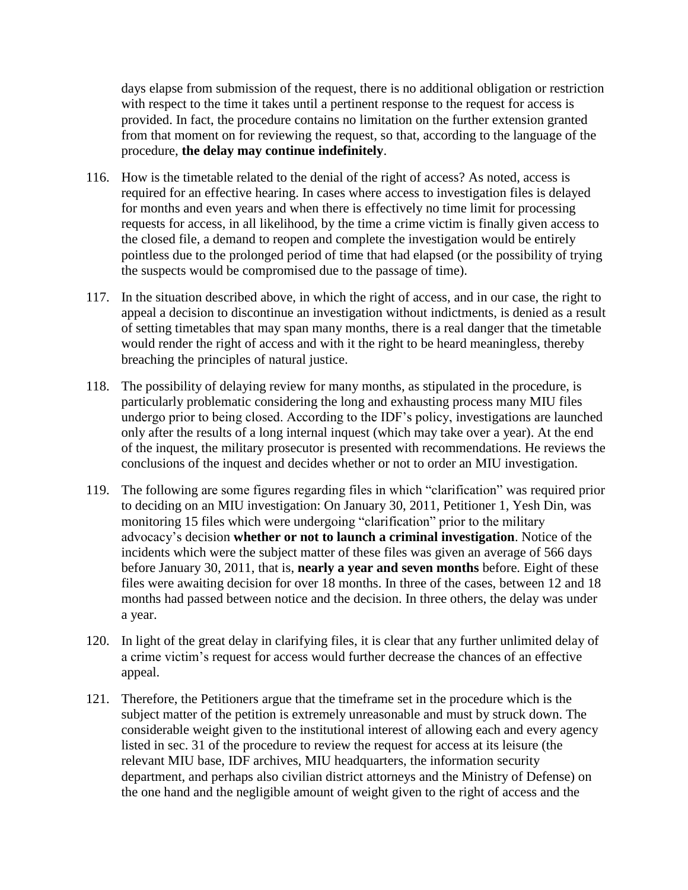days elapse from submission of the request, there is no additional obligation or restriction with respect to the time it takes until a pertinent response to the request for access is provided. In fact, the procedure contains no limitation on the further extension granted from that moment on for reviewing the request, so that, according to the language of the procedure, **the delay may continue indefinitely**.

- 116. How is the timetable related to the denial of the right of access? As noted, access is required for an effective hearing. In cases where access to investigation files is delayed for months and even years and when there is effectively no time limit for processing requests for access, in all likelihood, by the time a crime victim is finally given access to the closed file, a demand to reopen and complete the investigation would be entirely pointless due to the prolonged period of time that had elapsed (or the possibility of trying the suspects would be compromised due to the passage of time).
- 117. In the situation described above, in which the right of access, and in our case, the right to appeal a decision to discontinue an investigation without indictments, is denied as a result of setting timetables that may span many months, there is a real danger that the timetable would render the right of access and with it the right to be heard meaningless, thereby breaching the principles of natural justice.
- 118. The possibility of delaying review for many months, as stipulated in the procedure, is particularly problematic considering the long and exhausting process many MIU files undergo prior to being closed. According to the IDF's policy, investigations are launched only after the results of a long internal inquest (which may take over a year). At the end of the inquest, the military prosecutor is presented with recommendations. He reviews the conclusions of the inquest and decides whether or not to order an MIU investigation.
- 119. The following are some figures regarding files in which "clarification" was required prior to deciding on an MIU investigation: On January 30, 2011, Petitioner 1, Yesh Din, was monitoring 15 files which were undergoing "clarification" prior to the military advocacy's decision **whether or not to launch a criminal investigation**. Notice of the incidents which were the subject matter of these files was given an average of 566 days before January 30, 2011, that is, **nearly a year and seven months** before. Eight of these files were awaiting decision for over 18 months. In three of the cases, between 12 and 18 months had passed between notice and the decision. In three others, the delay was under a year.
- 120. In light of the great delay in clarifying files, it is clear that any further unlimited delay of a crime victim's request for access would further decrease the chances of an effective appeal.
- 121. Therefore, the Petitioners argue that the timeframe set in the procedure which is the subject matter of the petition is extremely unreasonable and must by struck down. The considerable weight given to the institutional interest of allowing each and every agency listed in sec. 31 of the procedure to review the request for access at its leisure (the relevant MIU base, IDF archives, MIU headquarters, the information security department, and perhaps also civilian district attorneys and the Ministry of Defense) on the one hand and the negligible amount of weight given to the right of access and the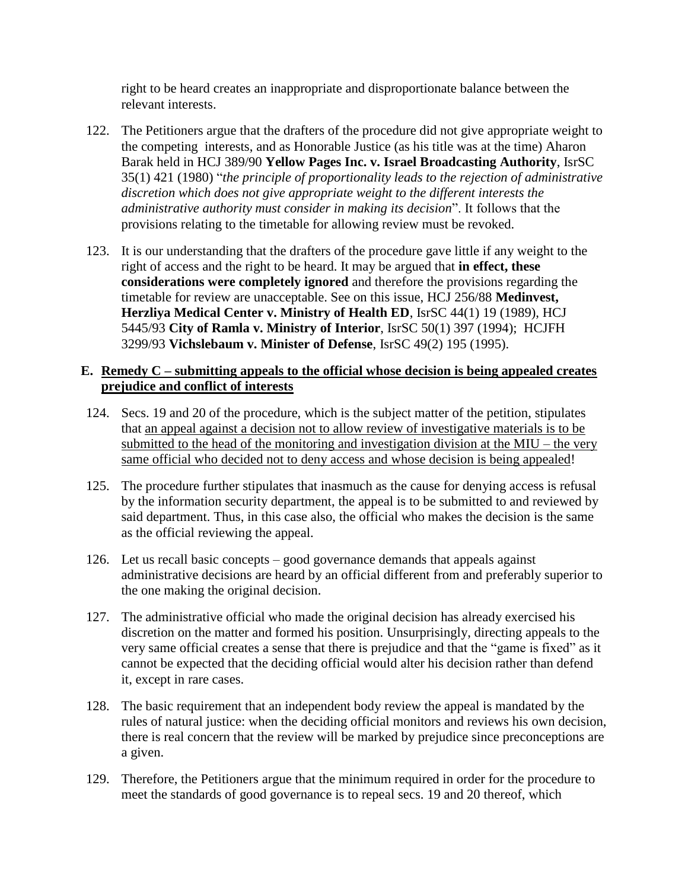right to be heard creates an inappropriate and disproportionate balance between the relevant interests.

- 122. The Petitioners argue that the drafters of the procedure did not give appropriate weight to the competing interests, and as Honorable Justice (as his title was at the time) Aharon Barak held in HCJ 389/90 **Yellow Pages Inc. v. Israel Broadcasting Authority**, IsrSC 35(1) 421 (1980) "*the principle of proportionality leads to the rejection of administrative discretion which does not give appropriate weight to the different interests the administrative authority must consider in making its decision*". It follows that the provisions relating to the timetable for allowing review must be revoked.
- 123. It is our understanding that the drafters of the procedure gave little if any weight to the right of access and the right to be heard. It may be argued that **in effect, these considerations were completely ignored** and therefore the provisions regarding the timetable for review are unacceptable. See on this issue, HCJ 256/88 **Medinvest, Herzliya Medical Center v. Ministry of Health ED**, IsrSC 44(1) 19 (1989), HCJ 5445/93 **City of Ramla v. Ministry of Interior**, IsrSC 50(1) 397 (1994); HCJFH 3299/93 **Vichslebaum v. Minister of Defense**, IsrSC 49(2) 195 (1995).

#### **E. Remedy C – submitting appeals to the official whose decision is being appealed creates prejudice and conflict of interests**

- 124. Secs. 19 and 20 of the procedure, which is the subject matter of the petition, stipulates that an appeal against a decision not to allow review of investigative materials is to be submitted to the head of the monitoring and investigation division at the MIU – the very same official who decided not to deny access and whose decision is being appealed!
- 125. The procedure further stipulates that inasmuch as the cause for denying access is refusal by the information security department, the appeal is to be submitted to and reviewed by said department. Thus, in this case also, the official who makes the decision is the same as the official reviewing the appeal.
- 126. Let us recall basic concepts good governance demands that appeals against administrative decisions are heard by an official different from and preferably superior to the one making the original decision.
- 127. The administrative official who made the original decision has already exercised his discretion on the matter and formed his position. Unsurprisingly, directing appeals to the very same official creates a sense that there is prejudice and that the "game is fixed" as it cannot be expected that the deciding official would alter his decision rather than defend it, except in rare cases.
- 128. The basic requirement that an independent body review the appeal is mandated by the rules of natural justice: when the deciding official monitors and reviews his own decision, there is real concern that the review will be marked by prejudice since preconceptions are a given.
- 129. Therefore, the Petitioners argue that the minimum required in order for the procedure to meet the standards of good governance is to repeal secs. 19 and 20 thereof, which